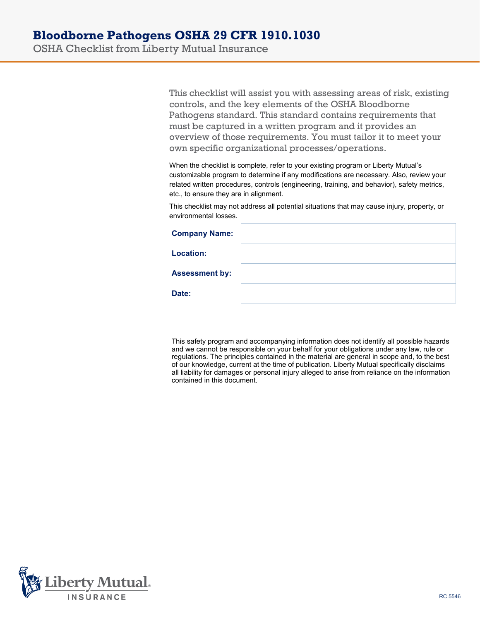OSHA Checklist from Liberty Mutual Insurance

This checklist will assist you with assessing areas of risk, existing controls, and the key elements of the OSHA Bloodborne Pathogens standard. This standard contains requirements that must be captured in a written program and it provides an overview of those requirements. You must tailor it to meet your own specific organizational processes/operations.

When the checklist is complete, refer to your existing program or Liberty Mutual's customizable program to determine if any modifications are necessary. Also, review your related written procedures, controls (engineering, training, and behavior), safety metrics, etc., to ensure they are in alignment.

This checklist may not address all potential situations that may cause injury, property, or environmental losses.

| <b>Company Name:</b>  |  |
|-----------------------|--|
| <b>Location:</b>      |  |
| <b>Assessment by:</b> |  |
| Date:                 |  |

This safety program and accompanying information does not identify all possible hazards and we cannot be responsible on your behalf for your obligations under any law, rule or regulations. The principles contained in the material are general in scope and, to the best of our knowledge, current at the time of publication. Liberty Mutual specifically disclaims all liability for damages or personal injury alleged to arise from reliance on the information contained in this document.

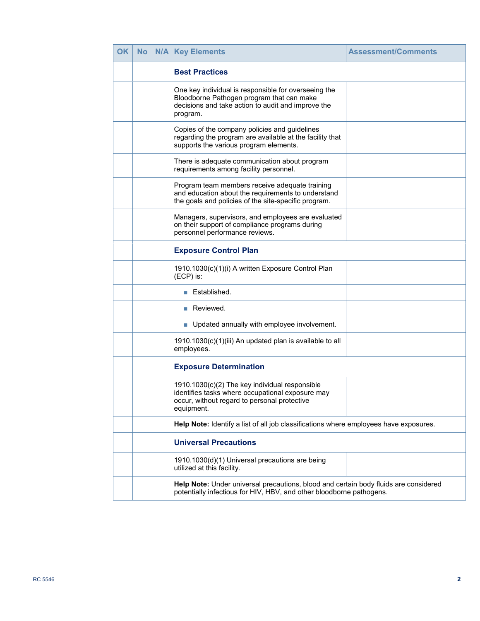| <b>OK</b> | No | <b>N/A</b> | <b>Key Elements</b>                                                                                                                                                 | <b>Assessment/Comments</b> |  |
|-----------|----|------------|---------------------------------------------------------------------------------------------------------------------------------------------------------------------|----------------------------|--|
|           |    |            | <b>Best Practices</b>                                                                                                                                               |                            |  |
|           |    |            | One key individual is responsible for overseeing the<br>Bloodborne Pathogen program that can make<br>decisions and take action to audit and improve the<br>program. |                            |  |
|           |    |            | Copies of the company policies and guidelines<br>regarding the program are available at the facility that<br>supports the various program elements.                 |                            |  |
|           |    |            | There is adequate communication about program<br>requirements among facility personnel.                                                                             |                            |  |
|           |    |            | Program team members receive adequate training<br>and education about the requirements to understand<br>the goals and policies of the site-specific program.        |                            |  |
|           |    |            | Managers, supervisors, and employees are evaluated<br>on their support of compliance programs during<br>personnel performance reviews.                              |                            |  |
|           |    |            | <b>Exposure Control Plan</b>                                                                                                                                        |                            |  |
|           |    |            | 1910.1030(c)(1)(i) A written Exposure Control Plan<br>(ECP) is:                                                                                                     |                            |  |
|           |    |            | Established.                                                                                                                                                        |                            |  |
|           |    |            | Reviewed.<br><b>The State</b>                                                                                                                                       |                            |  |
|           |    |            | • Updated annually with employee involvement.                                                                                                                       |                            |  |
|           |    |            | 1910.1030(c)(1)(iii) An updated plan is available to all<br>employees.                                                                                              |                            |  |
|           |    |            | <b>Exposure Determination</b>                                                                                                                                       |                            |  |
|           |    |            | 1910.1030(c)(2) The key individual responsible<br>identifies tasks where occupational exposure may<br>occur, without regard to personal protective<br>equipment.    |                            |  |
|           |    |            | Help Note: Identify a list of all job classifications where employees have exposures.                                                                               |                            |  |
|           |    |            | <b>Universal Precautions</b>                                                                                                                                        |                            |  |
|           |    |            | 1910.1030(d)(1) Universal precautions are being<br>utilized at this facility.                                                                                       |                            |  |
|           |    |            | Help Note: Under universal precautions, blood and certain body fluids are considered<br>potentially infectious for HIV, HBV, and other bloodborne pathogens.        |                            |  |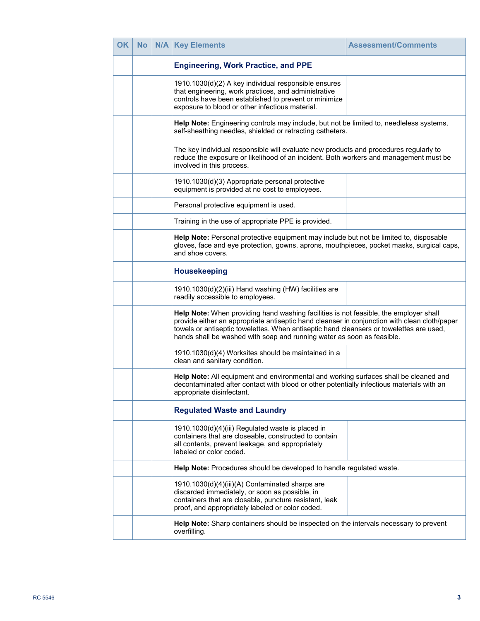| <b>OK</b> | <b>No</b> | <b>N/A   Key Elements</b>                                                                                                                                                                                                                                                                                                                                  | <b>Assessment/Comments</b> |  |
|-----------|-----------|------------------------------------------------------------------------------------------------------------------------------------------------------------------------------------------------------------------------------------------------------------------------------------------------------------------------------------------------------------|----------------------------|--|
|           |           | <b>Engineering, Work Practice, and PPE</b>                                                                                                                                                                                                                                                                                                                 |                            |  |
|           |           | 1910.1030(d)(2) A key individual responsible ensures<br>that engineering, work practices, and administrative<br>controls have been established to prevent or minimize<br>exposure to blood or other infectious material.                                                                                                                                   |                            |  |
|           |           | Help Note: Engineering controls may include, but not be limited to, needleless systems,<br>self-sheathing needles, shielded or retracting catheters.                                                                                                                                                                                                       |                            |  |
|           |           | The key individual responsible will evaluate new products and procedures regularly to<br>reduce the exposure or likelihood of an incident. Both workers and management must be<br>involved in this process.                                                                                                                                                |                            |  |
|           |           | 1910.1030(d)(3) Appropriate personal protective<br>equipment is provided at no cost to employees.                                                                                                                                                                                                                                                          |                            |  |
|           |           | Personal protective equipment is used.                                                                                                                                                                                                                                                                                                                     |                            |  |
|           |           | Training in the use of appropriate PPE is provided.                                                                                                                                                                                                                                                                                                        |                            |  |
|           |           | Help Note: Personal protective equipment may include but not be limited to, disposable<br>gloves, face and eye protection, gowns, aprons, mouthpieces, pocket masks, surgical caps,<br>and shoe covers.                                                                                                                                                    |                            |  |
|           |           | <b>Housekeeping</b>                                                                                                                                                                                                                                                                                                                                        |                            |  |
|           |           | 1910.1030(d)(2)(iii) Hand washing (HW) facilities are<br>readily accessible to employees.                                                                                                                                                                                                                                                                  |                            |  |
|           |           | Help Note: When providing hand washing facilities is not feasible, the employer shall<br>provide either an appropriate antiseptic hand cleanser in conjunction with clean cloth/paper<br>towels or antiseptic towelettes. When antiseptic hand cleansers or towelettes are used,<br>hands shall be washed with soap and running water as soon as feasible. |                            |  |
|           |           | 1910.1030(d)(4) Worksites should be maintained in a<br>clean and sanitary condition.                                                                                                                                                                                                                                                                       |                            |  |
|           |           | Help Note: All equipment and environmental and working surfaces shall be cleaned and<br>decontaminated after contact with blood or other potentially infectious materials with an<br>appropriate disinfectant.                                                                                                                                             |                            |  |
|           |           | <b>Regulated Waste and Laundry</b>                                                                                                                                                                                                                                                                                                                         |                            |  |
|           |           | 1910.1030(d)(4)(iii) Regulated waste is placed in<br>containers that are closeable, constructed to contain<br>all contents, prevent leakage, and appropriately<br>labeled or color coded.                                                                                                                                                                  |                            |  |
|           |           | Help Note: Procedures should be developed to handle regulated waste.                                                                                                                                                                                                                                                                                       |                            |  |
|           |           | 1910.1030(d)(4)(iii)(A) Contaminated sharps are<br>discarded immediately, or soon as possible, in<br>containers that are closable, puncture resistant, leak<br>proof, and appropriately labeled or color coded.                                                                                                                                            |                            |  |
|           |           | Help Note: Sharp containers should be inspected on the intervals necessary to prevent<br>overfilling.                                                                                                                                                                                                                                                      |                            |  |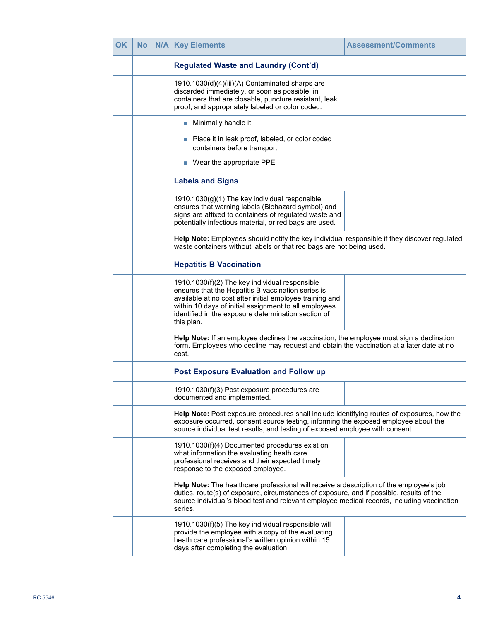| OK | <b>No</b> | <b>N/A   Key Elements</b>                                                                                                                                                                                                                                                                      | <b>Assessment/Comments</b> |
|----|-----------|------------------------------------------------------------------------------------------------------------------------------------------------------------------------------------------------------------------------------------------------------------------------------------------------|----------------------------|
|    |           | <b>Regulated Waste and Laundry (Cont'd)</b>                                                                                                                                                                                                                                                    |                            |
|    |           | 1910.1030(d)(4)(iii)(A) Contaminated sharps are<br>discarded immediately, or soon as possible, in<br>containers that are closable, puncture resistant, leak<br>proof, and appropriately labeled or color coded.                                                                                |                            |
|    |           | Minimally handle it                                                                                                                                                                                                                                                                            |                            |
|    |           | Place it in leak proof, labeled, or color coded<br>П<br>containers before transport                                                                                                                                                                                                            |                            |
|    |           | ■ Wear the appropriate PPE                                                                                                                                                                                                                                                                     |                            |
|    |           | <b>Labels and Signs</b>                                                                                                                                                                                                                                                                        |                            |
|    |           | 1910.1030(g)(1) The key individual responsible<br>ensures that warning labels (Biohazard symbol) and<br>signs are affixed to containers of regulated waste and<br>potentially infectious material, or red bags are used.                                                                       |                            |
|    |           | Help Note: Employees should notify the key individual responsible if they discover regulated<br>waste containers without labels or that red bags are not being used.                                                                                                                           |                            |
|    |           | <b>Hepatitis B Vaccination</b>                                                                                                                                                                                                                                                                 |                            |
|    |           | 1910.1030(f)(2) The key individual responsible<br>ensures that the Hepatitis B vaccination series is<br>available at no cost after initial employee training and<br>within 10 days of initial assignment to all employees<br>identified in the exposure determination section of<br>this plan. |                            |
|    |           | Help Note: If an employee declines the vaccination, the employee must sign a declination<br>form. Employees who decline may request and obtain the vaccination at a later date at no<br>cost.                                                                                                  |                            |
|    |           | <b>Post Exposure Evaluation and Follow up</b>                                                                                                                                                                                                                                                  |                            |
|    |           | 1910.1030(f)(3) Post exposure procedures are<br>documented and implemented.                                                                                                                                                                                                                    |                            |
|    |           | Help Note: Post exposure procedures shall include identifying routes of exposures, how the<br>exposure occurred, consent source testing, informing the exposed employee about the<br>source individual test results, and testing of exposed employee with consent.                             |                            |
|    |           | 1910.1030(f)(4) Documented procedures exist on<br>what information the evaluating heath care<br>professional receives and their expected timely<br>response to the exposed employee.                                                                                                           |                            |
|    |           | Help Note: The healthcare professional will receive a description of the employee's job<br>duties, route(s) of exposure, circumstances of exposure, and if possible, results of the<br>source individual's blood test and relevant employee medical records, including vaccination<br>series.  |                            |
|    |           | 1910.1030(f)(5) The key individual responsible will<br>provide the employee with a copy of the evaluating<br>heath care professional's written opinion within 15<br>days after completing the evaluation.                                                                                      |                            |